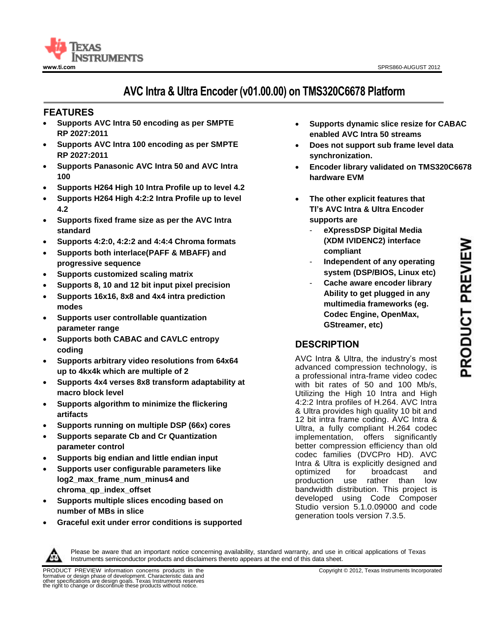

# **AVC Intra & Ultra Encoder (v01.00.00) on TMS320C6678 Platform**

## **<sup>11</sup>FEATURES**

- **Supports AVC Intra 50 encoding as per SMPTE RP 2027:2011**
- **Supports AVC Intra 100 encoding as per SMPTE RP 2027:2011**
- **Supports Panasonic AVC Intra 50 and AVC Intra 100**
- **Supports H264 High 10 Intra Profile up to level 4.2**
- **Supports H264 High 4:2:2 Intra Profile up to level 4.2**
- **Supports fixed frame size as per the AVC Intra standard**
- **Supports 4:2:0, 4:2:2 and 4:4:4 Chroma formats**
- **Supports both interlace(PAFF & MBAFF) and progressive sequence**
- **Supports customized scaling matrix**
- **Supports 8, 10 and 12 bit input pixel precision**
- **Supports 16x16, 8x8 and 4x4 intra prediction modes**
- **Supports user controllable quantization parameter range**
- **Supports both CABAC and CAVLC entropy coding**
- **Supports arbitrary video resolutions from 64x64 up to 4kx4k which are multiple of 2**
- **Supports 4x4 verses 8x8 transform adaptability at macro block level**
- **Supports algorithm to minimize the flickering artifacts**
- **Supports running on multiple DSP (66x) cores**
- **Supports separate Cb and Cr Quantization parameter control**
- **Supports big endian and little endian input**
- **Supports user configurable parameters like log2\_max\_frame\_num\_minus4 and chroma\_qp\_index\_offset**
- **Supports multiple slices encoding based on number of MBs in slice**
- **Graceful exit under error conditions is supported**
- **Supports dynamic slice resize for CABAC enabled AVC Intra 50 streams**
- **Does not support sub frame level data synchronization.**
- **Encoder library validated on TMS320C6678 hardware EVM**
- **The other explicit features that TI's AVC Intra & Ultra Encoder supports are** 
	- **eXpressDSP Digital Media (XDM IVIDENC2) interface compliant**
	- **Independent of any operating system (DSP/BIOS, Linux etc)**
		- **Cache aware encoder library Ability to get plugged in any multimedia frameworks (eg. Codec Engine, OpenMax, GStreamer, etc)**

## **DESCRIPTION**

AVC Intra & Ultra, the industry's most advanced compression technology, is a professional intra-frame video codec with bit rates of 50 and 100 Mb/s, Utilizing the High 10 Intra and High 4:2:2 Intra profiles of H.264. AVC Intra & Ultra provides high quality 10 bit and 12 bit intra frame coding. AVC Intra & Ultra, a fully compliant H.264 codec implementation, offers significantly better compression efficiency than old codec families (DVCPro HD). AVC Intra & Ultra is explicitly designed and optimized for broadcast and production use rather than low bandwidth distribution. This project is developed using Code Composer Studio version 5.1.0.09000 and code generation tools version 7.3.5.



Please be aware that an important notice concerning availability, standard warranty, and use in critical applications of Texas Instruments semiconductor products and disclaimers thereto appears at the end of this data sheet.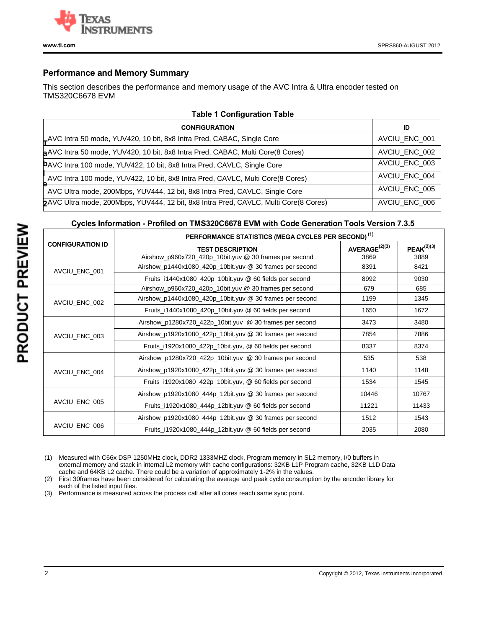

## **Performance and Memory Summary**

This section describes the performance and memory usage of the AVC Intra & Ultra encoder tested on TMS320C6678 EVM

| <b>Table 1 Configuration Table</b>                                                   |               |  |  |  |
|--------------------------------------------------------------------------------------|---------------|--|--|--|
| <b>CONFIGURATION</b>                                                                 | ID            |  |  |  |
| LAVC Intra 50 mode, YUV420, 10 bit, 8x8 Intra Pred, CABAC, Single Core               | AVCIU ENC 001 |  |  |  |
| a AVC Intra 50 mode, YUV420, 10 bit, 8x8 Intra Pred, CABAC, Multi Core(8 Cores)      | AVCIU_ENC_002 |  |  |  |
| DAVC Intra 100 mode, YUV422, 10 bit, 8x8 Intra Pred, CAVLC, Single Core              | AVCIU_ENC_003 |  |  |  |
| AVC Intra 100 mode, YUV422, 10 bit, 8x8 Intra Pred, CAVLC, Multi Core(8 Cores)       | AVCIU_ENC_004 |  |  |  |
| AVC Ultra mode, 200Mbps, YUV444, 12 bit, 8x8 Intra Pred, CAVLC, Single Core          | AVCIU_ENC_005 |  |  |  |
| 2AVC Ultra mode, 200Mbps, YUV444, 12 bit, 8x8 Intra Pred, CAVLC, Multi Core(8 Cores) | AVCIU ENC 006 |  |  |  |

## **Cycles Information - Profiled on TMS320C6678 EVM with Code Generation Tools Version 7.3.5**

|                         | PERFORMANCE STATISTICS (MEGA CYCLES PER SECOND) <sup>(1)</sup> |                           |                 |
|-------------------------|----------------------------------------------------------------|---------------------------|-----------------|
| <b>CONFIGURATION ID</b> | <b>TEST DESCRIPTION</b>                                        | AVERAGE <sup>(2)(3)</sup> | $PEAK^{(2)(3)}$ |
|                         | Airshow_p960x720_420p_10bit.yuv @ 30 frames per second         | 3869                      | 3889            |
| AVCIU ENC 001           | Airshow_p1440x1080_420p_10bit.yuv @ 30 frames per second       | 8391                      | 8421            |
|                         | Fruits_i1440x1080_420p_10bit.yuv @ 60 fields per second        | 8992                      | 9030            |
|                         | Airshow_p960x720_420p_10bit.yuv @ 30 frames per second         | 679                       | 685             |
| AVCIU ENC 002           | Airshow_p1440x1080_420p_10bit.yuv @ 30 frames per second       | 1199                      | 1345            |
|                         | Fruits_i1440x1080_420p_10bit.yuv @ 60 fields per second        | 1650                      | 1672            |
| AVCIU_ENC_003           | Airshow_p1280x720_422p_10bit.yuv @ 30 frames per second        | 3473                      | 3480            |
|                         | Airshow_p1920x1080_422p_10bit.yuv @ 30 frames per second       | 7854                      | 7886            |
|                         | Fruits_i1920x1080_422p_10bit.yuv, @ 60 fields per second       | 8337                      | 8374            |
|                         | Airshow_p1280x720_422p_10bit.yuv @ 30 frames per second        | 535                       | 538             |
| AVCIU ENC 004           | Airshow_p1920x1080_422p_10bit.yuv @ 30 frames per second       | 1140                      | 1148            |
|                         | Fruits_i1920x1080_422p_10bit.yuv, @ 60 fields per second       | 1534                      | 1545            |
|                         | Airshow_p1920x1080_444p_12bit.yuv @ 30 frames per second       | 10446                     | 10767           |
| AVCIU_ENC_005           | Fruits_i1920x1080_444p_12bit.yuv @ 60 fields per second        | 11221                     | 11433           |
|                         | Airshow_p1920x1080_444p_12bit.yuv @ 30 frames per second       | 1512                      | 1543            |
| AVCIU ENC 006           | Fruits_i1920x1080_444p_12bit.yuv @ 60 fields per second        | 2035                      | 2080            |

(1) Measured with C66x DSP 1250MHz clock, DDR2 1333MHZ clock, Program memory in SL2 memory, I/0 buffers in external memory and stack in internal L2 memory with cache configurations: 32KB L1P Program cache, 32KB L1D Data cache and 64KB L2 cache. There could be a variation of approximately 1-2% in the values.

(2) First 30frames have been considered for calculating the average and peak cycle consumption by the encoder library for each of the listed input files.

(3) Performance is measured across the process call after all cores reach same sync point.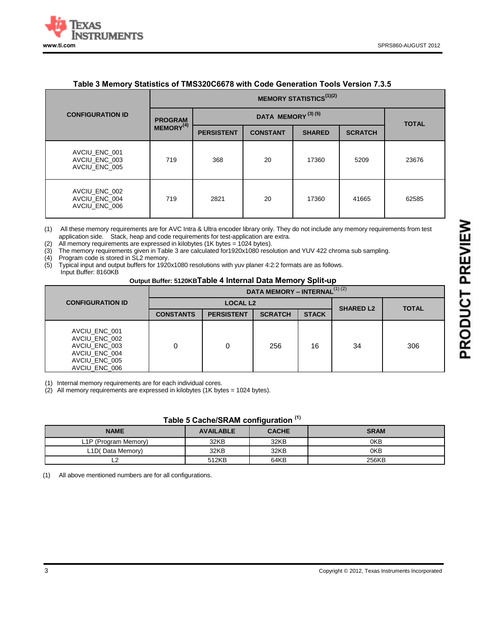

| <u>TUDIO O MONIQI V OUUQUOO OF FINOOLOOODI O MILII OOUG OGNORUGII TOOIS VOISIGIT I.O.O</u> |                                                 |                   |                 |               |                |              |
|--------------------------------------------------------------------------------------------|-------------------------------------------------|-------------------|-----------------|---------------|----------------|--------------|
| <b>CONFIGURATION ID</b>                                                                    | <b>MEMORY STATISTICS</b> <sup>(1)(2)</sup>      |                   |                 |               |                |              |
|                                                                                            | DATA MEMORY <sup>(3)(5)</sup><br><b>PROGRAM</b> |                   |                 |               |                | <b>TOTAL</b> |
|                                                                                            | MEMORY <sup>(4)</sup>                           | <b>PERSISTENT</b> | <b>CONSTANT</b> | <b>SHARED</b> | <b>SCRATCH</b> |              |
| AVCIU ENC 001<br>AVCIU_ENC_003<br>AVCIU ENC 005                                            | 719                                             | 368               | 20              | 17360         | 5209           | 23676        |
| AVCIU_ENC_002<br>AVCIU_ENC_004<br>AVCIU ENC 006                                            | 719                                             | 2821              | 20              | 17360         | 41665          | 62585        |

## **Table 3 Memory Statistics of TMS320C6678 with Code Generation Tools Version 7.3.5**

(1) All these memory requirements are for AVC Intra & Ultra encoder library only. They do not include any memory requirements from test application side. Stack, heap and code requirements for test-application are extra.

(2) All memory requirements are expressed in kilobytes (1K bytes = 1024 bytes).

(3) The memory requirements given in Table 3 are calculated for1920x1080 resolution and YUV 422 chroma sub sampling.

(4) Program code is stored in SL2 memory.

(5) Typical input and output buffers for 1920x1080 resolutions with yuv planer 4:2:2 formats are as follows.

Input Buffer: 8160KB

#### **Output Buffer: 5120KBTable 4 Internal Data Memory Split-up**

|                         |                                                                                                    | DATA MEMORY - INTERNAL <sup>(1)(2)</sup> |                   |                  |              |    |     |
|-------------------------|----------------------------------------------------------------------------------------------------|------------------------------------------|-------------------|------------------|--------------|----|-----|
| <b>CONFIGURATION ID</b> |                                                                                                    |                                          | <b>LOCAL L2</b>   | <b>SHARED L2</b> | <b>TOTAL</b> |    |     |
|                         |                                                                                                    | <b>CONSTANTS</b>                         | <b>PERSISTENT</b> | <b>SCRATCH</b>   | <b>STACK</b> |    |     |
|                         | AVCIU_ENC_001<br>AVCIU ENC 002<br>AVCIU ENC 003<br>AVCIU ENC 004<br>AVCIU ENC 005<br>AVCIU ENC 006 |                                          | 0                 | 256              | 16           | 34 | 306 |

(1) Internal memory requirements are for each individual cores.

(2) All memory requirements are expressed in kilobytes (1K bytes = 1024 bytes).

| Table 5 Cache/SRAM configuration (1) |  |  |  |  |
|--------------------------------------|--|--|--|--|
|--------------------------------------|--|--|--|--|

| <b>NAME</b>                       | <b>AVAILABLE</b> | <b>CACHE</b> | <b>SRAM</b> |
|-----------------------------------|------------------|--------------|-------------|
| L <sub>1</sub> P (Program Memory) | 32KB             | 32KB         | 0KB         |
| L1D(Data Memory)                  | 32KB             | 32KB         | 0KB         |
|                                   | 512KB            | 64KB         | 256KB       |

(1) All above mentioned numbers are for all configurations.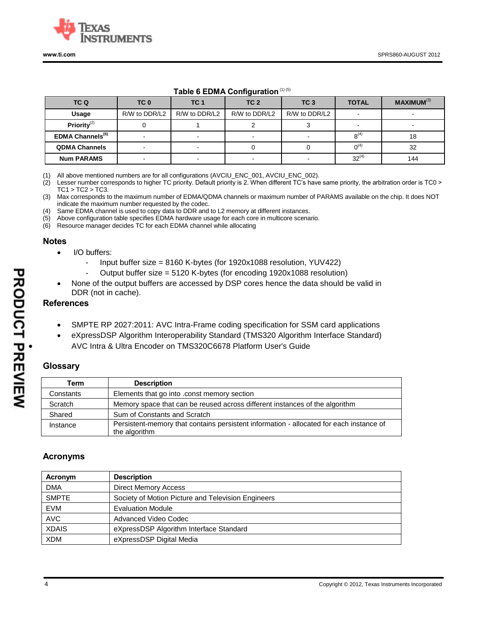

## **Table 6 EDMA Configuration**(1) (5)

| TC Q                         | TC 0          | TC <sub>1</sub> | TC <sub>2</sub> | TC <sub>3</sub> | <b>TOTAL</b> | MAXIMUM <sup>(3)</sup> |
|------------------------------|---------------|-----------------|-----------------|-----------------|--------------|------------------------|
| Usage                        | R/W to DDR/L2 | R/W to DDR/L2   | R/W to DDR/L2   | R/W to DDR/L2   |              |                        |
| Priority $(2)$               |               |                 |                 |                 |              |                        |
| EDMA Channels <sup>(6)</sup> |               |                 |                 |                 | $8^{(4)}$    | 18                     |
| <b>QDMA Channels</b>         |               |                 |                 |                 | $0^{(4)}$    | 32                     |
| <b>Num PARAMS</b>            |               |                 |                 |                 | $32^{(4)}$   | 144                    |

(1) All above mentioned numbers are for all configurations (AVCIU\_ENC\_001, AVCIU\_ENC\_002).

(2) Lesser number corresponds to higher TC priority. Default priority is 2. When different TC's have same priority, the arbitration order is TC0 >  $TC1 > TC2 > TC3$ .

(3) Max corresponds to the maximum number of EDMA/QDMA channels or maximum number of PARAMS available on the chip. It does NOT indicate the maximum number requested by the codec.

(4) Same EDMA channel is used to copy data to DDR and to L2 memory at different instances.

(5) Above configuration table specifies EDMA hardware usage for each core in multicore scenario.

(6) Resource manager decides TC for each EDMA channel while allocating

#### **Notes**

- I/O buffers:
	- Input buffer size = 8160 K-bytes (for 1920x1088 resolution, YUV422)
	- Output buffer size = 5120 K-bytes (for encoding 1920x1088 resolution)
- None of the output buffers are accessed by DSP cores hence the data should be valid in DDR (not in cache).

### **References**

- SMPTE RP 2027:2011: AVC Intra-Frame coding specification for SSM card applications
- eXpressDSP Algorithm Interoperability Standard (TMS320 Algorithm Interface Standard)
- AVC Intra & Ultra Encoder on TMS320C6678 Platform User's Guide

## **Glossary**

| Term      | <b>Description</b>                                                                                       |
|-----------|----------------------------------------------------------------------------------------------------------|
| Constants | Elements that go into .const memory section                                                              |
| Scratch   | Memory space that can be reused across different instances of the algorithm                              |
| Shared    | Sum of Constants and Scratch                                                                             |
| Instance  | Persistent-memory that contains persistent information - allocated for each instance of<br>the algorithm |

## **Acronyms**

| Acronym      | <b>Description</b>                                 |
|--------------|----------------------------------------------------|
| <b>DMA</b>   | <b>Direct Memory Access</b>                        |
| <b>SMPTE</b> | Society of Motion Picture and Television Engineers |
| <b>EVM</b>   | <b>Evaluation Module</b>                           |
| <b>AVC</b>   | Advanced Video Codec                               |
| <b>XDAIS</b> | eXpressDSP Algorithm Interface Standard            |
| <b>XDM</b>   | eXpressDSP Digital Media                           |